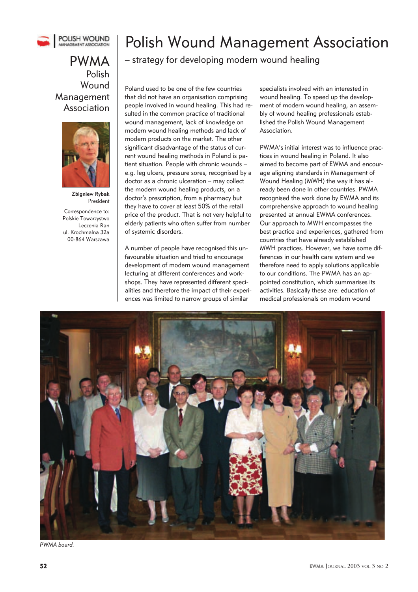

Polish **Wound** Management Association



**Zbigniew Rybak** President

Correspondence to: Polskie Towarzystwo Leczenia Ran ul. Krochmalna 32a 00-864 Warszawa

# Polish Wound Management Association

 $PWMA$  – strategy for developing modern wound healing

Poland used to be one of the few countries that did not have an organisation comprising people involved in wound healing. This had resulted in the common practice of traditional wound management, lack of knowledge on modern wound healing methods and lack of modern products on the market. The other significant disadvantage of the status of current wound healing methods in Poland is patient situation. People with chronic wounds – e.g. leg ulcers, pressure sores, recognised by a doctor as a chronic ulceration – may collect the modern wound healing products, on a doctor's prescription, from a pharmacy but they have to cover at least 50% of the retail price of the product. That is not very helpful to elderly patients who often suffer from number of systemic disorders.

A number of people have recognised this unfavourable situation and tried to encourage development of modern wound management lecturing at different conferences and workshops. They have represented different specialities and therefore the impact of their experiences was limited to narrow groups of similar

specialists involved with an interested in wound healing. To speed up the development of modern wound healing, an assembly of wound healing professionals established the Polish Wound Management Association.

PWMA's initial interest was to influence practices in wound healing in Poland. It also aimed to become part of EWMA and encourage aligning standards in Management of Wound Healing (MWH) the way it has already been done in other countries. PWMA recognised the work done by EWMA and its comprehensive approach to wound healing presented at annual EWMA conferences. Our approach to MWH encompasses the best practice and experiences, gathered from countries that have already established MWH practices. However, we have some differences in our health care system and we therefore need to apply solutions applicable to our conditions. The PWMA has an appointed constitution, which summarises its activities. Basically these are: education of medical professionals on modern wound



PWMA board.